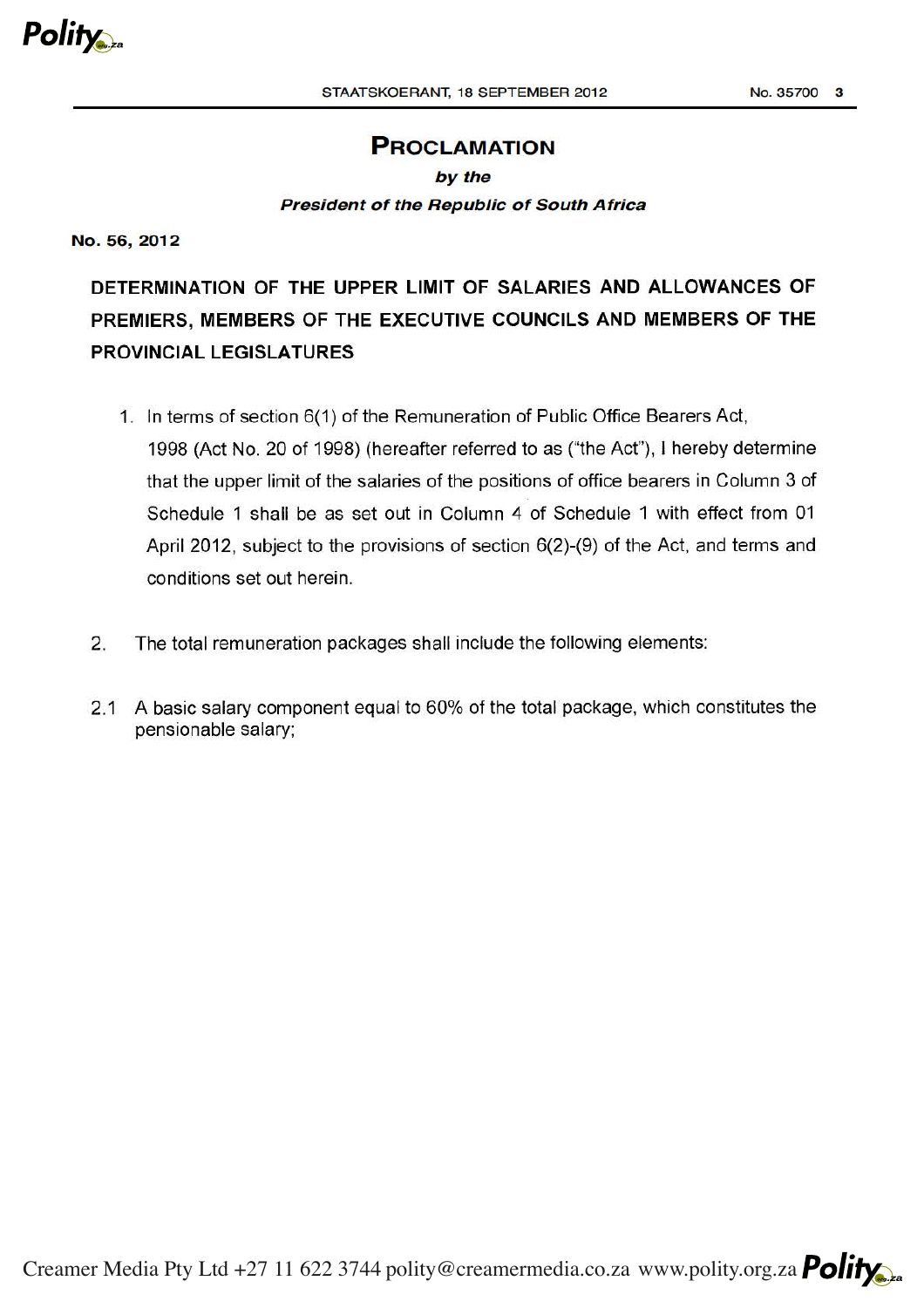## PROCLAMATION

## by the President of the Republic of South Africa

No.56,2012

DETERMINATION OF THE UPPER LIMIT OF SALARIES AND ALLOWANCES OF PREMIERS, MEMBERS OF THE EXECUTIVE COUNCILS AND MEMBERS OF THE PROVINCIAL LEGISLATURES

- 1. In terms of section 6(1) of the Remuneration of Public Office Bearers Act, 1998 (Act No. 20 of 1998) (hereafter referred to as ("the Act"), I hereby determine that the upper limit of the salaries of the positions of office bearers in Column 3 of Schedule 1 shall be as set out in Column 4 of Schedule 1 with effect from 01 April 2012, subject to the provisions of section 6(2)-(9) of the Act, and terms and conditions set out herein.
- 2. The total remuneration packages shall include the following elements:
- 2.1 A basic salary component equal to 60% of the total package, which constitutes the pensionable salary;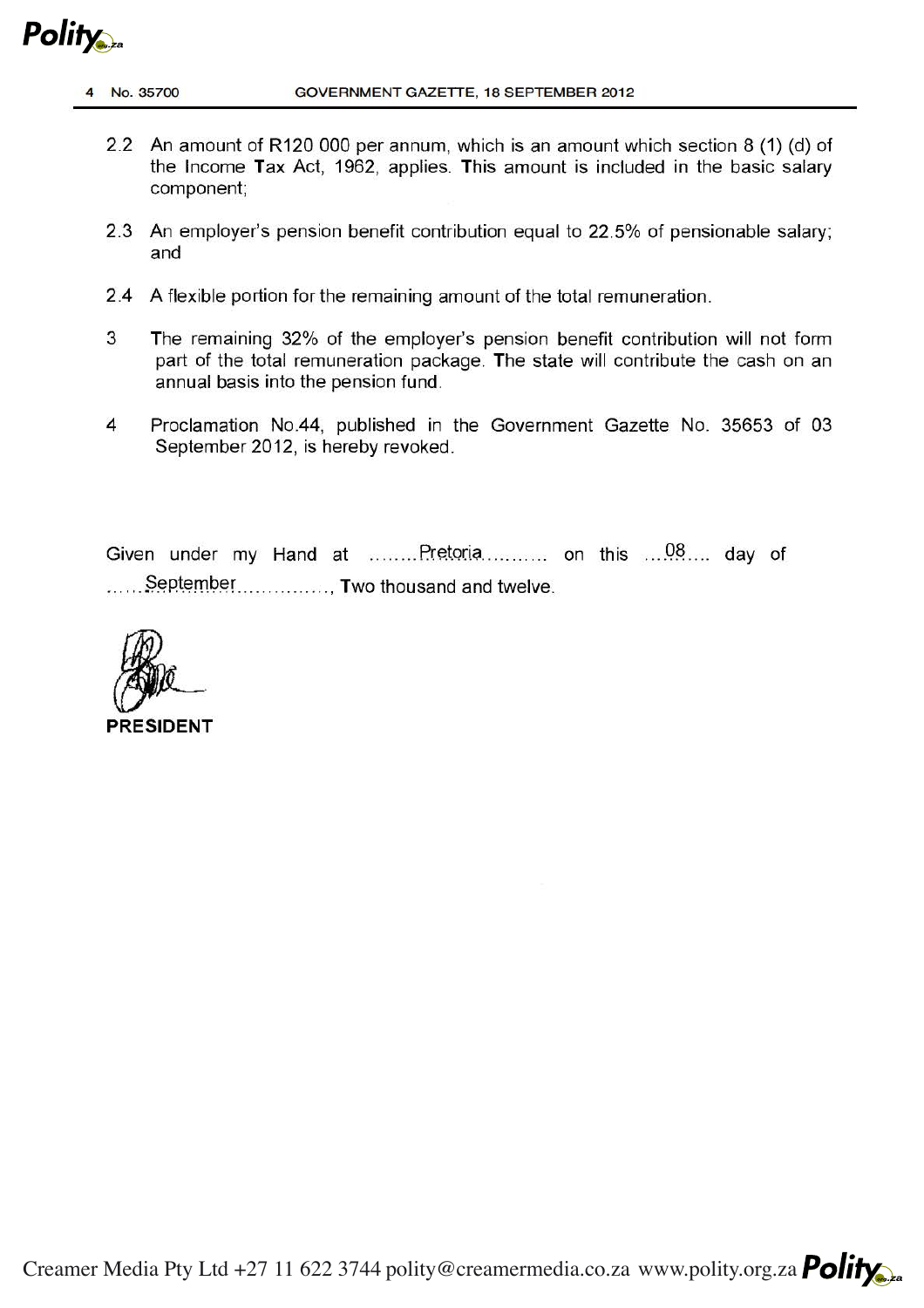**Polity** 

- 2.2 An amount of R120 000 per annum, which is an amount which section 8 (1) (d) of the Income Tax Act, 1962, applies. This amount is included in the basic salary component;
- 2.3 An employer's pension benefit contribution equal to 22.5% of pensionable salary; and
- 2.4 A flexible portion for the remaining amount of the total remuneration.
- 3 The remaining 32% of the employer's pension benefit contribution will not form part of the total remuneration package. The state will contribute the cash on an annual basis into the pension fund.
- 4 Proclamation No.44, published in the Government Gazette No. 35653 of 03 September 2012, is hereby revoked.

Given under my Hand at  $\ldots$ ...... Pretoria $\ldots$  ... ... on this  $\ldots$  ... ... day of  $\ldots$ . September................. Two thousand and twelve.

**PRESIDENT**